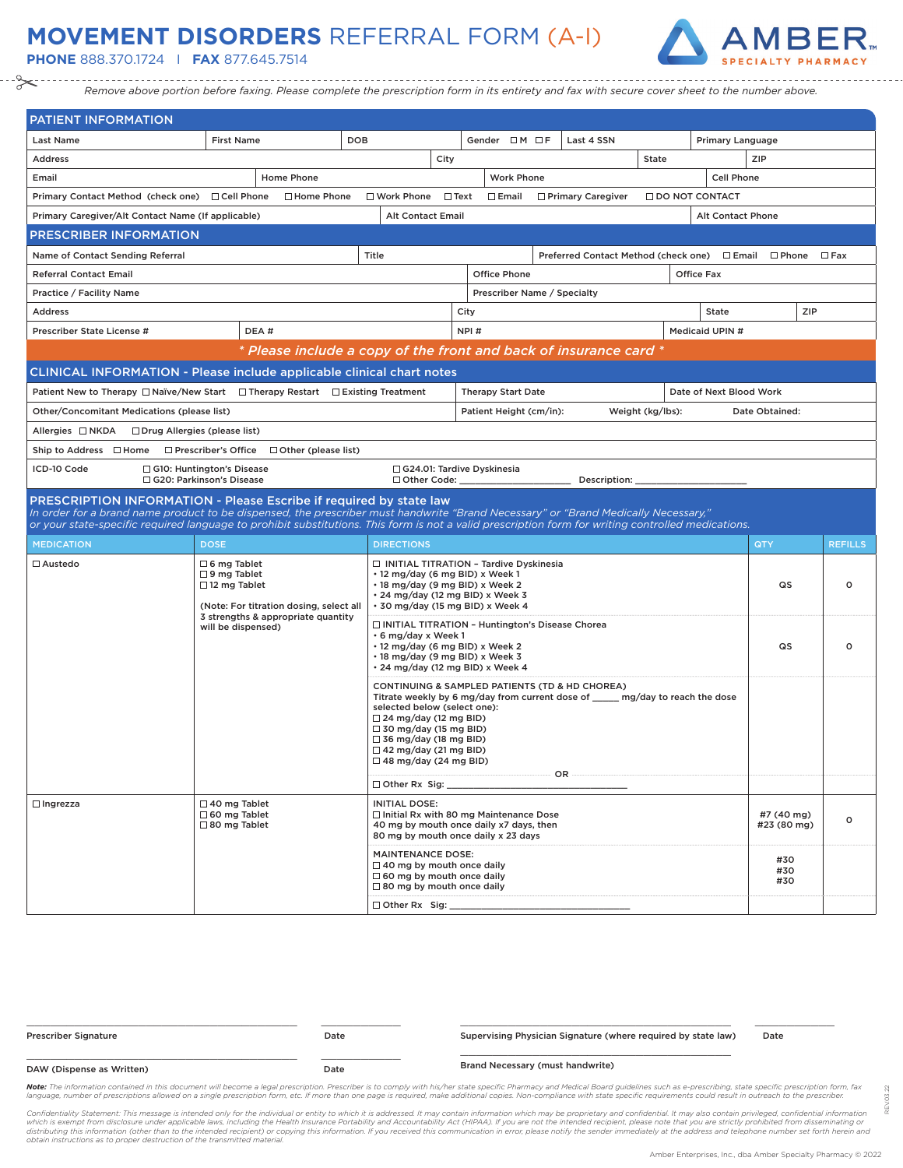## **MOVEMENT DISORDERS** REFERRAL FORM (A-I)

**PHONE** 888.370.1724 I **FAX** 877.645.7514



*Remove above portion before faxing. Please complete the prescription form in its entirety and fax with secure cover sheet to the number above.*

| <b>PATIENT INFORMATION</b>                                                                                                                                                                                                                                                                                                                                     |                                                                    |                                                                   |                                                                                                                                                                                                                                                                                                                                   |                                                                                                                                                                                        |                                                                                                                            |  |                                                      |                  |                         |                   |                           |                |  |
|----------------------------------------------------------------------------------------------------------------------------------------------------------------------------------------------------------------------------------------------------------------------------------------------------------------------------------------------------------------|--------------------------------------------------------------------|-------------------------------------------------------------------|-----------------------------------------------------------------------------------------------------------------------------------------------------------------------------------------------------------------------------------------------------------------------------------------------------------------------------------|----------------------------------------------------------------------------------------------------------------------------------------------------------------------------------------|----------------------------------------------------------------------------------------------------------------------------|--|------------------------------------------------------|------------------|-------------------------|-------------------|---------------------------|----------------|--|
| <b>Last Name</b>                                                                                                                                                                                                                                                                                                                                               | <b>First Name</b>                                                  |                                                                   | <b>DOB</b>                                                                                                                                                                                                                                                                                                                        |                                                                                                                                                                                        | Gender $\Box M \Box F$                                                                                                     |  | Last 4 SSN                                           |                  |                         | Primary Language  |                           |                |  |
| <b>Address</b>                                                                                                                                                                                                                                                                                                                                                 |                                                                    |                                                                   |                                                                                                                                                                                                                                                                                                                                   | City                                                                                                                                                                                   |                                                                                                                            |  |                                                      | State            |                         |                   | ZIP                       |                |  |
| Email                                                                                                                                                                                                                                                                                                                                                          |                                                                    | Home Phone                                                        |                                                                                                                                                                                                                                                                                                                                   |                                                                                                                                                                                        | <b>Work Phone</b>                                                                                                          |  |                                                      |                  |                         | Cell Phone        |                           |                |  |
| Primary Contact Method (check one) □ Cell Phone                                                                                                                                                                                                                                                                                                                |                                                                    | □ Home Phone                                                      | □ Work Phone                                                                                                                                                                                                                                                                                                                      | $\Box$ Text                                                                                                                                                                            | $\square$ Email                                                                                                            |  | □ Primary Caregiver                                  |                  | <b>IDO NOT CONTACT</b>  |                   |                           |                |  |
| Primary Caregiver/Alt Contact Name (If applicable)                                                                                                                                                                                                                                                                                                             |                                                                    |                                                                   | <b>Alt Contact Email</b>                                                                                                                                                                                                                                                                                                          |                                                                                                                                                                                        |                                                                                                                            |  |                                                      |                  |                         | Alt Contact Phone |                           |                |  |
| <u>PRESCRIBER INFORMATION</u>                                                                                                                                                                                                                                                                                                                                  |                                                                    |                                                                   |                                                                                                                                                                                                                                                                                                                                   |                                                                                                                                                                                        |                                                                                                                            |  |                                                      |                  |                         |                   |                           |                |  |
| Name of Contact Sending Referral                                                                                                                                                                                                                                                                                                                               |                                                                    |                                                                   | Title                                                                                                                                                                                                                                                                                                                             |                                                                                                                                                                                        |                                                                                                                            |  | Preferred Contact Method (check one) □ Email □ Phone |                  |                         |                   |                           | $\Box$ Fax     |  |
| <b>Referral Contact Email</b>                                                                                                                                                                                                                                                                                                                                  |                                                                    |                                                                   |                                                                                                                                                                                                                                                                                                                                   |                                                                                                                                                                                        | <b>Office Phone</b>                                                                                                        |  |                                                      |                  | <b>Office Fax</b>       |                   |                           |                |  |
| Practice / Facility Name                                                                                                                                                                                                                                                                                                                                       |                                                                    |                                                                   |                                                                                                                                                                                                                                                                                                                                   |                                                                                                                                                                                        | Prescriber Name / Specialty                                                                                                |  |                                                      |                  |                         |                   |                           |                |  |
| <b>Address</b>                                                                                                                                                                                                                                                                                                                                                 |                                                                    |                                                                   |                                                                                                                                                                                                                                                                                                                                   |                                                                                                                                                                                        | City<br>State                                                                                                              |  |                                                      |                  |                         |                   | ZIP                       |                |  |
| Prescriber State License #                                                                                                                                                                                                                                                                                                                                     |                                                                    | DEA#                                                              |                                                                                                                                                                                                                                                                                                                                   |                                                                                                                                                                                        | NPI#<br>Medicaid UPIN #                                                                                                    |  |                                                      |                  |                         |                   |                           |                |  |
|                                                                                                                                                                                                                                                                                                                                                                |                                                                    | * Please include a copy of the front and back of insurance card * |                                                                                                                                                                                                                                                                                                                                   |                                                                                                                                                                                        |                                                                                                                            |  |                                                      |                  |                         |                   |                           |                |  |
| <b>CLINICAL INFORMATION - Please include applicable clinical chart notes</b>                                                                                                                                                                                                                                                                                   |                                                                    |                                                                   |                                                                                                                                                                                                                                                                                                                                   |                                                                                                                                                                                        |                                                                                                                            |  |                                                      |                  |                         |                   |                           |                |  |
| Patient New to Therapy $\Box$ Naïve/New Start $\Box$ Therapy Restart $\Box$ Existing Treatment                                                                                                                                                                                                                                                                 |                                                                    |                                                                   |                                                                                                                                                                                                                                                                                                                                   |                                                                                                                                                                                        | <b>Therapy Start Date</b>                                                                                                  |  |                                                      |                  | Date of Next Blood Work |                   |                           |                |  |
| Other/Concomitant Medications (please list)                                                                                                                                                                                                                                                                                                                    |                                                                    |                                                                   |                                                                                                                                                                                                                                                                                                                                   |                                                                                                                                                                                        | Patient Height (cm/in):                                                                                                    |  |                                                      | Weight (kg/lbs): |                         |                   | Date Obtained:            |                |  |
| Allergies □ NKDA<br>$\Box$ Drug Allergies (please list)                                                                                                                                                                                                                                                                                                        |                                                                    |                                                                   |                                                                                                                                                                                                                                                                                                                                   |                                                                                                                                                                                        |                                                                                                                            |  |                                                      |                  |                         |                   |                           |                |  |
| Ship to Address □ Home                                                                                                                                                                                                                                                                                                                                         | □ Prescriber's Office                                              | $\Box$ Other (please list)                                        |                                                                                                                                                                                                                                                                                                                                   |                                                                                                                                                                                        |                                                                                                                            |  |                                                      |                  |                         |                   |                           |                |  |
| ICD-10 Code<br>$\Box$ G10: Huntington's Disease<br>□ G24.01: Tardive Dyskinesia<br>□ G20: Parkinson's Disease<br>Other Code:<br>Description:                                                                                                                                                                                                                   |                                                                    |                                                                   |                                                                                                                                                                                                                                                                                                                                   |                                                                                                                                                                                        |                                                                                                                            |  |                                                      |                  |                         |                   |                           |                |  |
| PRESCRIPTION INFORMATION - Please Escribe if required by state law<br>In order for a brand name product to be dispensed, the prescriber must handwrite "Brand Necessary" or "Brand Medically Necessary."<br>or your state-specific required language to prohibit substitutions. This form is not a valid prescription form for writing controlled medications. |                                                                    |                                                                   |                                                                                                                                                                                                                                                                                                                                   |                                                                                                                                                                                        |                                                                                                                            |  |                                                      |                  |                         |                   |                           |                |  |
| <b>MEDICATION</b>                                                                                                                                                                                                                                                                                                                                              | <b>DOSE</b>                                                        |                                                                   | <b>DIRECTIONS</b>                                                                                                                                                                                                                                                                                                                 |                                                                                                                                                                                        |                                                                                                                            |  |                                                      |                  |                         |                   | QTY                       | <b>REFILLS</b> |  |
| $\Box$ Austedo                                                                                                                                                                                                                                                                                                                                                 | $\Box$ 6 mg Tablet<br>$\square$ 9 mg Tablet<br>$\Box$ 12 mg Tablet | (Note: For titration dosing, select all                           |                                                                                                                                                                                                                                                                                                                                   | □ INITIAL TITRATION - Tardive Dyskinesia<br>. 12 mg/day (6 mg BID) x Week 1<br>• 18 mg/day (9 mg BID) x Week 2<br>• 24 mg/day (12 mg BID) x Week 3<br>· 30 mg/day (15 mg BID) x Week 4 |                                                                                                                            |  |                                                      |                  |                         | QS                | о                         |                |  |
|                                                                                                                                                                                                                                                                                                                                                                | 3 strengths & appropriate quantity<br>will be dispensed)           |                                                                   | □ INITIAL TITRATION - Huntington's Disease Chorea<br>• 6 mg/day x Week 1<br>• 12 mg/day (6 mg BID) x Week 2<br>· 18 mg/day (9 mg BID) x Week 3<br>· 24 mg/day (12 mg BID) x Week 4                                                                                                                                                |                                                                                                                                                                                        |                                                                                                                            |  |                                                      | QS               | $\circ$                 |                   |                           |                |  |
|                                                                                                                                                                                                                                                                                                                                                                |                                                                    |                                                                   | CONTINUING & SAMPLED PATIENTS (TD & HD CHOREA)<br>Titrate weekly by 6 mg/day from current dose of ______ mg/day to reach the dose<br>selected below (select one):<br>$\Box$ 24 mg/day (12 mg BID)<br>$\Box$ 30 mg/day (15 mg BID)<br>$\Box$ 36 mg/day (18 mg BID)<br>$\Box$ 42 mg/day (21 mg BID)<br>$\Box$ 48 mg/day (24 mg BID) |                                                                                                                                                                                        |                                                                                                                            |  |                                                      |                  |                         |                   |                           |                |  |
|                                                                                                                                                                                                                                                                                                                                                                |                                                                    |                                                                   | $\Box$ Other Rx Sig:                                                                                                                                                                                                                                                                                                              |                                                                                                                                                                                        |                                                                                                                            |  | OR -                                                 |                  |                         |                   |                           |                |  |
| $\Box$ Ingrezza                                                                                                                                                                                                                                                                                                                                                | $\Box$ 40 mg Tablet<br>□ 60 mg Tablet<br>□ 80 mg Tablet            |                                                                   | <b>INITIAL DOSE:</b>                                                                                                                                                                                                                                                                                                              |                                                                                                                                                                                        | □ Initial Rx with 80 mg Maintenance Dose<br>40 mg by mouth once daily x7 days, then<br>80 mg by mouth once daily x 23 days |  |                                                      |                  |                         |                   | #7 (40 mg)<br>#23 (80 mg) | $\circ$        |  |
|                                                                                                                                                                                                                                                                                                                                                                |                                                                    |                                                                   | <b>MAINTENANCE DOSE:</b><br>$\Box$ 40 mg by mouth once daily<br>$\Box$ 60 mg by mouth once daily<br>$\Box$ 80 mg by mouth once daily                                                                                                                                                                                              |                                                                                                                                                                                        |                                                                                                                            |  |                                                      |                  |                         |                   | #30<br>#30<br>#30         |                |  |
|                                                                                                                                                                                                                                                                                                                                                                |                                                                    |                                                                   | Other Rx Sig:                                                                                                                                                                                                                                                                                                                     |                                                                                                                                                                                        |                                                                                                                            |  |                                                      |                  |                         |                   |                           |                |  |

| <b>Prescriber Signature</b> | Date | Supervising Physician Signature (where required by state law) | Date |  |  |
|-----------------------------|------|---------------------------------------------------------------|------|--|--|
| DAW (Dispense as Written)   | Date | <b>Brand Necessary (must handwrite)</b>                       |      |  |  |

Note: The information contained in this document will become a legal prescription. Prescriber is to comply with his/her state specific Pharmacy and Medical Board guidelines such as e-prescribing, state specific prescriptio language, number of prescriptions allowed on a single prescription form, etc. If more than one page is required, make additional copies. Non-compliance with state specific requirements could result in outreach to the presc

Confidentiality Statement: This message is intended only for the individual or entity to which it is addressed. It may contain information which may be proprietary and confidential. It may also contain privileged, confiden

REV.03.22

03.22 è